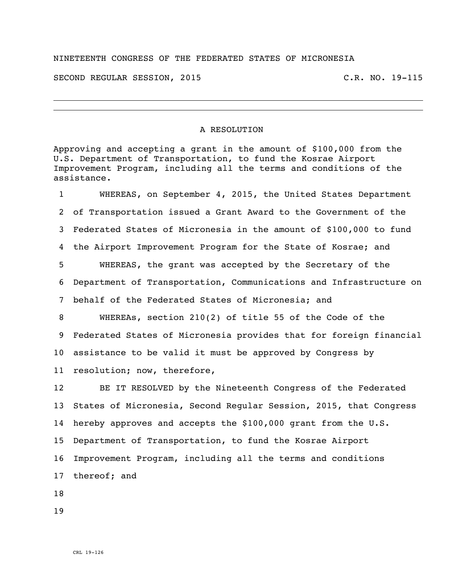## NINETEENTH CONGRESS OF THE FEDERATED STATES OF MICRONESIA

SECOND REGULAR SESSION, 2015 C.R. NO. 19-115

## A RESOLUTION

Approving and accepting a grant in the amount of \$100,000 from the U.S. Department of Transportation, to fund the Kosrae Airport Improvement Program, including all the terms and conditions of the assistance.

 WHEREAS, on September 4, 2015, the United States Department of Transportation issued a Grant Award to the Government of the Federated States of Micronesia in the amount of \$100,000 to fund the Airport Improvement Program for the State of Kosrae; and WHEREAS, the grant was accepted by the Secretary of the Department of Transportation, Communications and Infrastructure on behalf of the Federated States of Micronesia; and WHEREAs, section 210(2) of title 55 of the Code of the Federated States of Micronesia provides that for foreign financial assistance to be valid it must be approved by Congress by resolution; now, therefore, BE IT RESOLVED by the Nineteenth Congress of the Federated

 States of Micronesia, Second Regular Session, 2015, that Congress hereby approves and accepts the \$100,000 grant from the U.S. Department of Transportation, to fund the Kosrae Airport Improvement Program, including all the terms and conditions thereof; and